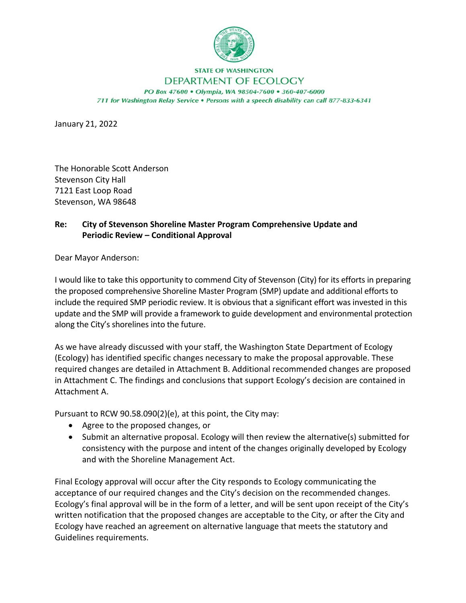

**STATE OF WASHINGTON** 

## DEPARTMENT OF ECOLOGY

PO Box 47600 . Olympia, WA 98504-7600 . 360-407-6000 711 for Washington Relay Service . Persons with a speech disability can call 877-833-6341

January 21, 2022

The Honorable Scott Anderson Stevenson City Hall 7121 East Loop Road Stevenson, WA 98648

## **Re: City of Stevenson Shoreline Master Program Comprehensive Update and Periodic Review – Conditional Approval**

Dear Mayor Anderson:

I would like to take this opportunity to commend City of Stevenson (City) for its efforts in preparing the proposed comprehensive Shoreline Master Program (SMP) update and additional efforts to include the required SMP periodic review. It is obvious that a significant effort was invested in this update and the SMP will provide a framework to guide development and environmental protection along the City's shorelines into the future.

As we have already discussed with your staff, the Washington State Department of Ecology (Ecology) has identified specific changes necessary to make the proposal approvable. These required changes are detailed in Attachment B. Additional recommended changes are proposed in Attachment C. The findings and conclusions that support Ecology's decision are contained in Attachment A.

Pursuant to RCW 90.58.090(2)(e), at this point, the City may:

- Agree to the proposed changes, or
- Submit an alternative proposal. Ecology will then review the alternative(s) submitted for consistency with the purpose and intent of the changes originally developed by Ecology and with the Shoreline Management Act.

Final Ecology approval will occur after the City responds to Ecology communicating the acceptance of our required changes and the City's decision on the recommended changes. Ecology's final approval will be in the form of a letter, and will be sent upon receipt of the City's written notification that the proposed changes are acceptable to the City, or after the City and Ecology have reached an agreement on alternative language that meets the statutory and Guidelines requirements.